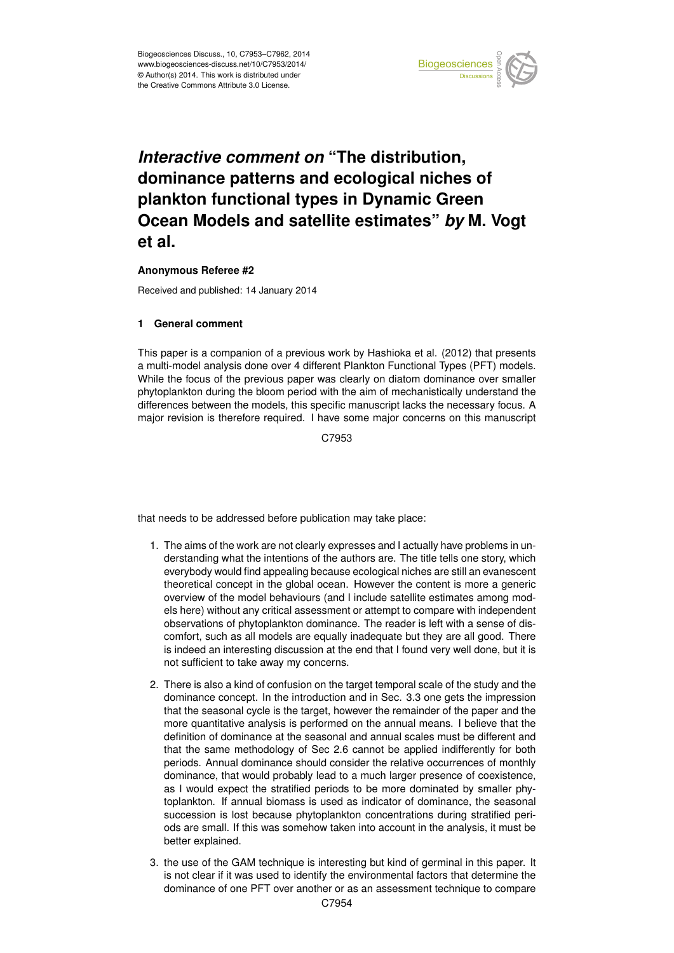

#### Earth System dominance patterns and ecological niches of  $\mathbf{b}$ *Interactive comment on "*The distribution, plankton functional types in Dynamic Green nd oote and sale  $\blacksquare$  $\mathbf{b}$ ishi **Ocean Models and satellite estimates"** *by* **M. Vogt**  $\prime$ **et al.**

# **Anonymous Referee #2**

Geoscientific Received and published: 14 January 2014

## **1 General comment**

This paper is a companion of a previous work by Hashioka et al. (2012) that presents Open Access p a multi-model analysis done over 4 different Plankton Functional Types (PFT) models. phytoplankton during the bloom period with the aim of mechanistically understand the ιε<br>N<br>e r<br>st<br>f differences between the models, this specific manuscript lacks the necessary focus. A While the focus of the previous paper was clearly on diatom dominance over smaller major revision is therefore required. I have some major concerns on this manuscript

> C<br>C C7953

 $\overline{c}$ that needs to be addressed before publication may take place:

- 1. The aims of the work are not clearly expresses and I actually have problems in understanding what the intentions of the authors are. The title tells one story, which everybody would find appealing because ecological niches are still an evanescent theoretical concept in the global ocean. However the content is more a generic overview of the model behaviours (and I include satellite estimates among models here) without any critical assessment or attempt to compare with independent observations of phytoplankton dominance. The reader is left with a sense of discomfort, such as all models are equally inadequate but they are all good. There is indeed an interesting discussion at the end that I found very well done, but it is not sufficient to take away my concerns.
- 2. There is also a kind of confusion on the target temporal scale of the study and the dominance concept. In the introduction and in Sec. 3.3 one gets the impression that the seasonal cycle is the target, however the remainder of the paper and the more quantitative analysis is performed on the annual means. I believe that the definition of dominance at the seasonal and annual scales must be different and that the same methodology of Sec 2.6 cannot be applied indifferently for both periods. Annual dominance should consider the relative occurrences of monthly dominance, that would probably lead to a much larger presence of coexistence, as I would expect the stratified periods to be more dominated by smaller phytoplankton. If annual biomass is used as indicator of dominance, the seasonal succession is lost because phytoplankton concentrations during stratified periods are small. If this was somehow taken into account in the analysis, it must be better explained.
- 3. the use of the GAM technique is interesting but kind of germinal in this paper. It is not clear if it was used to identify the environmental factors that determine the dominance of one PFT over another or as an assessment technique to compare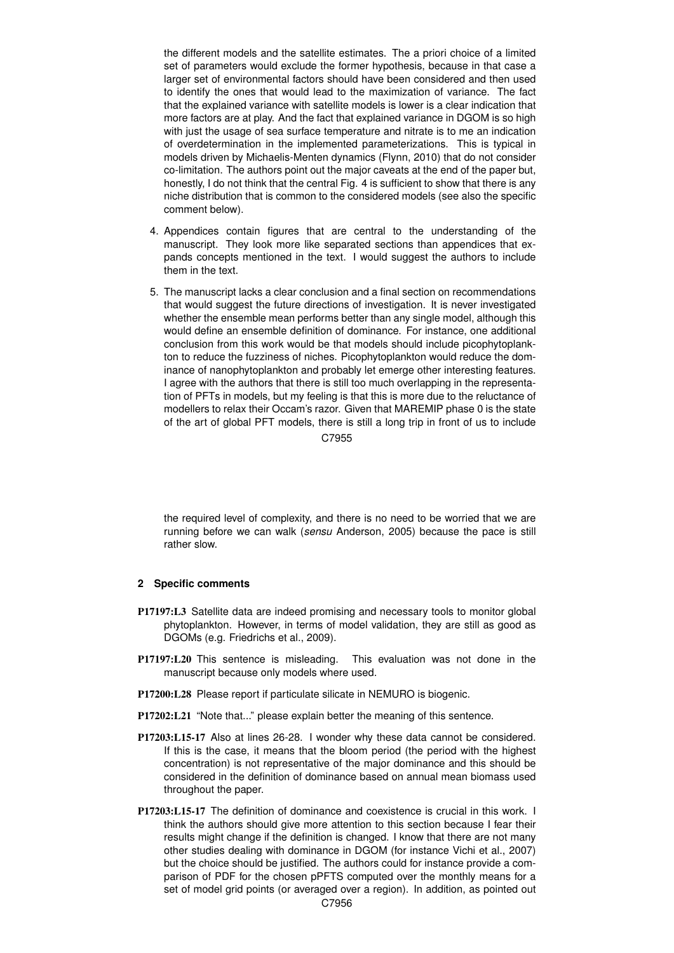the different models and the satellite estimates. The a priori choice of a limited set of parameters would exclude the former hypothesis, because in that case a larger set of environmental factors should have been considered and then used to identify the ones that would lead to the maximization of variance. The fact that the explained variance with satellite models is lower is a clear indication that more factors are at play. And the fact that explained variance in DGOM is so high with just the usage of sea surface temperature and nitrate is to me an indication of overdetermination in the implemented parameterizations. This is typical in models driven by Michaelis-Menten dynamics (Flynn, 2010) that do not consider co-limitation. The authors point out the major caveats at the end of the paper but, honestly, I do not think that the central Fig. 4 is sufficient to show that there is any niche distribution that is common to the considered models (see also the specific comment below).

- 4. Appendices contain figures that are central to the understanding of the manuscript. They look more like separated sections than appendices that expands concepts mentioned in the text. I would suggest the authors to include them in the text.
- 5. The manuscript lacks a clear conclusion and a final section on recommendations that would suggest the future directions of investigation. It is never investigated whether the ensemble mean performs better than any single model, although this would define an ensemble definition of dominance. For instance, one additional conclusion from this work would be that models should include picophytoplankton to reduce the fuzziness of niches. Picophytoplankton would reduce the dominance of nanophytoplankton and probably let emerge other interesting features. I agree with the authors that there is still too much overlapping in the representation of PFTs in models, but my feeling is that this is more due to the reluctance of modellers to relax their Occam's razor. Given that MAREMIP phase 0 is the state of the art of global PFT models, there is still a long trip in front of us to include C7955

the required level of complexity, and there is no need to be worried that we are running before we can walk (*sensu* Anderson, 2005) because the pace is still rather slow.

## **2 Specific comments**

- P17197:L3 Satellite data are indeed promising and necessary tools to monitor global phytoplankton. However, in terms of model validation, they are still as good as DGOMs (e.g. Friedrichs et al., 2009).
- P17197:L20 This sentence is misleading. This evaluation was not done in the manuscript because only models where used.
- P17200:L28 Please report if particulate silicate in NEMURO is biogenic.
- P17202:L21 "Note that..." please explain better the meaning of this sentence.
- P17203:L15-17 Also at lines 26-28. I wonder why these data cannot be considered. If this is the case, it means that the bloom period (the period with the highest concentration) is not representative of the major dominance and this should be considered in the definition of dominance based on annual mean biomass used throughout the paper.
- P17203:L15-17 The definition of dominance and coexistence is crucial in this work. I think the authors should give more attention to this section because I fear their results might change if the definition is changed. I know that there are not many other studies dealing with dominance in DGOM (for instance Vichi et al., 2007) but the choice should be justified. The authors could for instance provide a comparison of PDF for the chosen pPFTS computed over the monthly means for a set of model grid points (or averaged over a region). In addition, as pointed out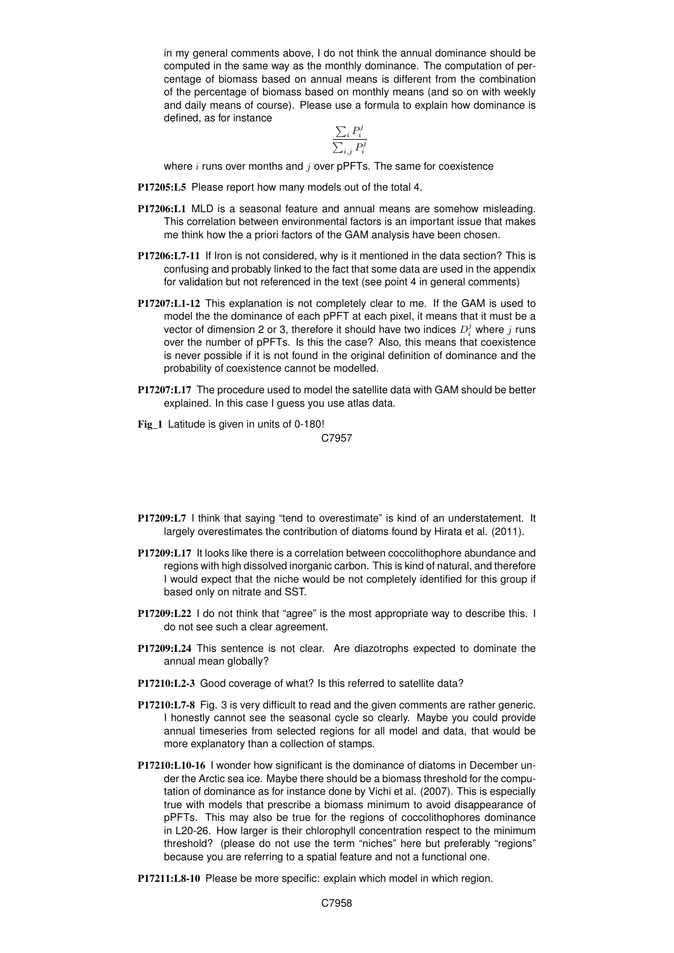in my general comments above, I do not think the annual dominance should be computed in the same way as the monthly dominance. The computation of percentage of biomass based on annual means is different from the combination of the percentage of biomass based on monthly means (and so on with weekly and daily means of course). Please use a formula to explain how dominance is defined, as for instance

$$
\frac{\sum_{i} P_i^j}{\sum_{i,j} P_i^j}
$$

where  $i$  runs over months and  $j$  over pPFTs. The same for coexistence

- P17205:L5 Please report how many models out of the total 4.
- P17206:L1 MLD is a seasonal feature and annual means are somehow misleading. This correlation between environmental factors is an important issue that makes me think how the a priori factors of the GAM analysis have been chosen.
- P17206:L7-11 If Iron is not considered, why is it mentioned in the data section? This is confusing and probably linked to the fact that some data are used in the appendix for validation but not referenced in the text (see point 4 in general comments)
- P17207:L1-12 This explanation is not completely clear to me. If the GAM is used to model the the dominance of each pPFT at each pixel, it means that it must be a vector of dimension 2 or 3, therefore it should have two indices  $D_i^j$  where  $j$  runs over the number of pPFTs. Is this the case? Also, this means that coexistence is never possible if it is not found in the original definition of dominance and the probability of coexistence cannot be modelled.
- P17207:L17 The procedure used to model the satellite data with GAM should be better explained. In this case I guess you use atlas data.
- Fig 1 Latitude is given in units of 0-180!

C7957

- P17209:L7 I think that saying "tend to overestimate" is kind of an understatement. It largely overestimates the contribution of diatoms found by Hirata et al. (2011).
- P17209:L17 It looks like there is a correlation between coccolithophore abundance and regions with high dissolved inorganic carbon. This is kind of natural, and therefore I would expect that the niche would be not completely identified for this group if based only on nitrate and SST.
- P17209:L22 I do not think that "agree" is the most appropriate way to describe this. I do not see such a clear agreement.
- P17209:L24 This sentence is not clear. Are diazotrophs expected to dominate the annual mean globally?
- P17210:L2-3 Good coverage of what? Is this referred to satellite data?
- P17210:L7-8 Fig. 3 is very difficult to read and the given comments are rather generic. I honestly cannot see the seasonal cycle so clearly. Maybe you could provide annual timeseries from selected regions for all model and data, that would be more explanatory than a collection of stamps.
- P17210:L10-16 I wonder how significant is the dominance of diatoms in December under the Arctic sea ice. Maybe there should be a biomass threshold for the computation of dominance as for instance done by Vichi et al. (2007). This is especially true with models that prescribe a biomass minimum to avoid disappearance of pPFTs. This may also be true for the regions of coccolithophores dominance in L20-26. How larger is their chlorophyll concentration respect to the minimum threshold? (please do not use the term "niches" here but preferably "regions" because you are referring to a spatial feature and not a functional one.
- P17211:L8-10 Please be more specific: explain which model in which region.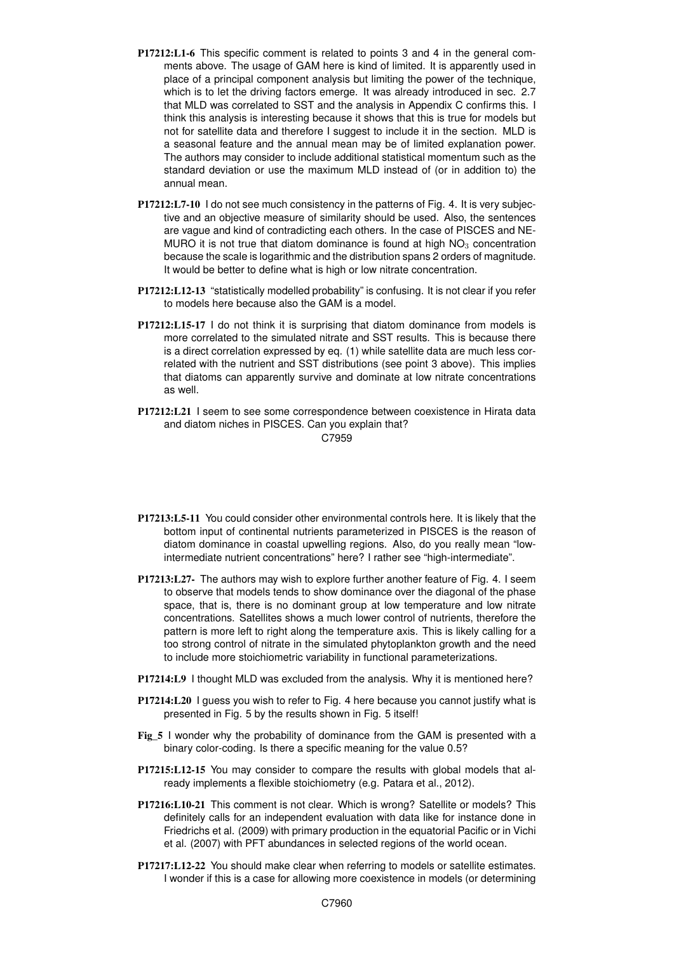- P17212:L1-6 This specific comment is related to points 3 and 4 in the general comments above. The usage of GAM here is kind of limited. It is apparently used in place of a principal component analysis but limiting the power of the technique, which is to let the driving factors emerge. It was already introduced in sec. 2.7 that MLD was correlated to SST and the analysis in Appendix C confirms this. I think this analysis is interesting because it shows that this is true for models but not for satellite data and therefore I suggest to include it in the section. MLD is a seasonal feature and the annual mean may be of limited explanation power. The authors may consider to include additional statistical momentum such as the standard deviation or use the maximum MLD instead of (or in addition to) the annual mean.
- P17212:L7-10 I do not see much consistency in the patterns of Fig. 4. It is very subjective and an objective measure of similarity should be used. Also, the sentences are vague and kind of contradicting each others. In the case of PISCES and NE-MURO it is not true that diatom dominance is found at high  $NO<sub>3</sub>$  concentration because the scale is logarithmic and the distribution spans 2 orders of magnitude. It would be better to define what is high or low nitrate concentration.
- P17212:L12-13 "statistically modelled probability" is confusing. It is not clear if you refer to models here because also the GAM is a model.
- P17212:L15-17 I do not think it is surprising that diatom dominance from models is more correlated to the simulated nitrate and SST results. This is because there is a direct correlation expressed by eq. (1) while satellite data are much less correlated with the nutrient and SST distributions (see point 3 above). This implies that diatoms can apparently survive and dominate at low nitrate concentrations as well.
- P17212:L21 I seem to see some correspondence between coexistence in Hirata data and diatom niches in PISCES. Can you explain that?

C7959

- P17213:L5-11 You could consider other environmental controls here. It is likely that the bottom input of continental nutrients parameterized in PISCES is the reason of diatom dominance in coastal upwelling regions. Also, do you really mean "lowintermediate nutrient concentrations" here? I rather see "high-intermediate".
- P17213:L27- The authors may wish to explore further another feature of Fig. 4. I seem to observe that models tends to show dominance over the diagonal of the phase space, that is, there is no dominant group at low temperature and low nitrate concentrations. Satellites shows a much lower control of nutrients, therefore the pattern is more left to right along the temperature axis. This is likely calling for a too strong control of nitrate in the simulated phytoplankton growth and the need to include more stoichiometric variability in functional parameterizations.
- P17214:L9 I thought MLD was excluded from the analysis. Why it is mentioned here?
- P17214:L20 I guess you wish to refer to Fig. 4 here because you cannot justify what is presented in Fig. 5 by the results shown in Fig. 5 itself!
- Fig\_5 I wonder why the probability of dominance from the GAM is presented with a binary color-coding. Is there a specific meaning for the value 0.5?
- P17215:L12-15 You may consider to compare the results with global models that already implements a flexible stoichiometry (e.g. Patara et al., 2012).
- P17216:L10-21 This comment is not clear. Which is wrong? Satellite or models? This definitely calls for an independent evaluation with data like for instance done in Friedrichs et al. (2009) with primary production in the equatorial Pacific or in Vichi et al. (2007) with PFT abundances in selected regions of the world ocean.
- P17217:L12-22 You should make clear when referring to models or satellite estimates. I wonder if this is a case for allowing more coexistence in models (or determining